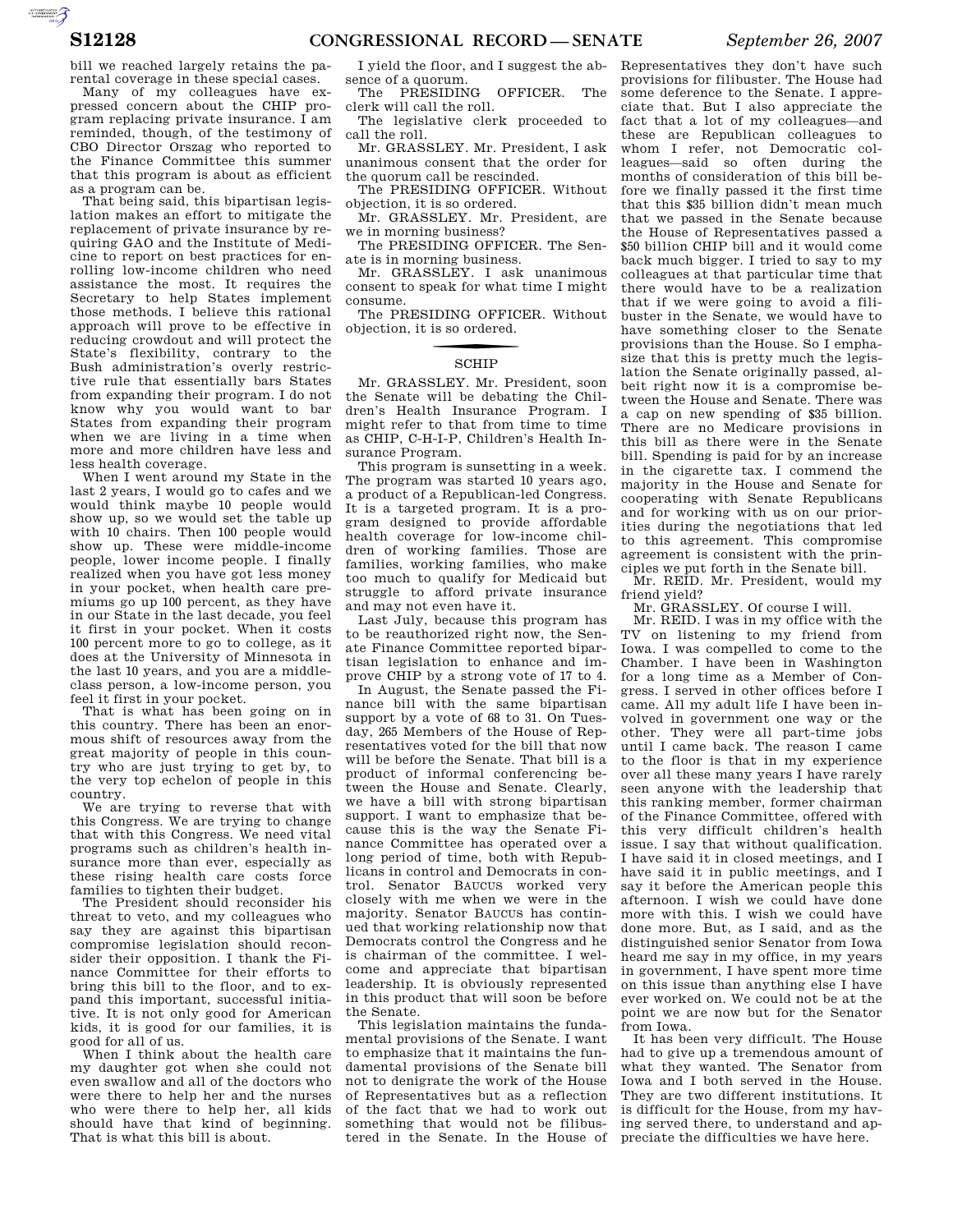bill we reached largely retains the parental coverage in these special cases.

Many of my colleagues have expressed concern about the CHIP program replacing private insurance. I am reminded, though, of the testimony of CBO Director Orszag who reported to the Finance Committee this summer that this program is about as efficient as a program can be.

That being said, this bipartisan legislation makes an effort to mitigate the replacement of private insurance by requiring GAO and the Institute of Medicine to report on best practices for enrolling low-income children who need assistance the most. It requires the Secretary to help States implement those methods. I believe this rational approach will prove to be effective in reducing crowdout and will protect the State's flexibility, contrary to the Bush administration's overly restrictive rule that essentially bars States from expanding their program. I do not know why you would want to bar States from expanding their program when we are living in a time when more and more children have less and less health coverage.

When I went around my State in the last 2 years, I would go to cafes and we would think maybe 10 people would show up, so we would set the table up with 10 chairs. Then 100 people would show up. These were middle-income people, lower income people. I finally realized when you have got less money in your pocket, when health care premiums go up 100 percent, as they have in our State in the last decade, you feel it first in your pocket. When it costs 100 percent more to go to college, as it does at the University of Minnesota in the last 10 years, and you are a middleclass person, a low-income person, you feel it first in your pocket.

That is what has been going on in this country. There has been an enormous shift of resources away from the great majority of people in this country who are just trying to get by, to the very top echelon of people in this country.

We are trying to reverse that with this Congress. We are trying to change that with this Congress. We need vital programs such as children's health insurance more than ever, especially as these rising health care costs force families to tighten their budget.

The President should reconsider his threat to veto, and my colleagues who say they are against this bipartisan compromise legislation should reconsider their opposition. I thank the Finance Committee for their efforts to bring this bill to the floor, and to expand this important, successful initiative. It is not only good for American kids, it is good for our families, it is good for all of us.

When I think about the health care my daughter got when she could not even swallow and all of the doctors who were there to help her and the nurses who were there to help her, all kids should have that kind of beginning. That is what this bill is about.

I yield the floor, and I suggest the absence of a quorum.

The PRESIDING OFFICER. The clerk will call the roll.

The legislative clerk proceeded to call the roll.

Mr. GRASSLEY. Mr. President, I ask unanimous consent that the order for the quorum call be rescinded.

The PRESIDING OFFICER. Without objection, it is so ordered.

Mr. GRASSLEY. Mr. President, are we in morning business?

The PRESIDING OFFICER. The Senate is in morning business.

Mr. GRASSLEY. I ask unanimous consent to speak for what time I might consume.

The PRESIDING OFFICER. Without objection, it is so ordered.

## **SCHIP**

Mr. GRASSLEY. Mr. President, soon the Senate will be debating the Children's Health Insurance Program. I might refer to that from time to time as CHIP, C-H-I-P, Children's Health Insurance Program.

This program is sunsetting in a week. The program was started 10 years ago, a product of a Republican-led Congress. It is a targeted program. It is a program designed to provide affordable health coverage for low-income children of working families. Those are families, working families, who make too much to qualify for Medicaid but struggle to afford private insurance and may not even have it.

Last July, because this program has to be reauthorized right now, the Senate Finance Committee reported bipartisan legislation to enhance and improve CHIP by a strong vote of 17 to 4.

In August, the Senate passed the Finance bill with the same bipartisan support by a vote of 68 to 31. On Tuesday, 265 Members of the House of Representatives voted for the bill that now will be before the Senate. That bill is a product of informal conferencing between the House and Senate. Clearly, we have a bill with strong bipartisan support. I want to emphasize that because this is the way the Senate Finance Committee has operated over a long period of time, both with Republicans in control and Democrats in control. Senator BAUCUS worked very closely with me when we were in the majority. Senator BAUCUS has continued that working relationship now that Democrats control the Congress and he is chairman of the committee. I welcome and appreciate that bipartisan leadership. It is obviously represented in this product that will soon be before the Senate.

This legislation maintains the fundamental provisions of the Senate. I want to emphasize that it maintains the fundamental provisions of the Senate bill not to denigrate the work of the House of Representatives but as a reflection of the fact that we had to work out something that would not be filibustered in the Senate. In the House of preciate the difficulties we have here.

Representatives they don't have such provisions for filibuster. The House had some deference to the Senate. I appreciate that. But I also appreciate the fact that a lot of my colleagues—and these are Republican colleagues to whom I refer, not Democratic colleagues—said so often during the months of consideration of this bill before we finally passed it the first time that this \$35 billion didn't mean much that we passed in the Senate because the House of Representatives passed a \$50 billion CHIP bill and it would come back much bigger. I tried to say to my colleagues at that particular time that there would have to be a realization that if we were going to avoid a filibuster in the Senate, we would have to have something closer to the Senate provisions than the House. So I emphasize that this is pretty much the legislation the Senate originally passed, albeit right now it is a compromise between the House and Senate. There was a cap on new spending of \$35 billion. There are no Medicare provisions in this bill as there were in the Senate bill. Spending is paid for by an increase in the cigarette tax. I commend the majority in the House and Senate for cooperating with Senate Republicans and for working with us on our priorities during the negotiations that led to this agreement. This compromise agreement is consistent with the principles we put forth in the Senate bill.

Mr. REID. Mr. President, would my friend yield?

Mr. GRASSLEY. Of course I will.

Mr. REID. I was in my office with the TV on listening to my friend from Iowa. I was compelled to come to the Chamber. I have been in Washington for a long time as a Member of Congress. I served in other offices before I came. All my adult life I have been involved in government one way or the other. They were all part-time jobs until I came back. The reason I came to the floor is that in my experience over all these many years I have rarely seen anyone with the leadership that this ranking member, former chairman of the Finance Committee, offered with this very difficult children's health issue. I say that without qualification. I have said it in closed meetings, and I have said it in public meetings, and I say it before the American people this afternoon. I wish we could have done more with this. I wish we could have done more. But, as I said, and as the distinguished senior Senator from Iowa heard me say in my office, in my years in government, I have spent more time on this issue than anything else I have ever worked on. We could not be at the point we are now but for the Senator from Iowa.

It has been very difficult. The House had to give up a tremendous amount of what they wanted. The Senator from Iowa and I both served in the House. They are two different institutions. It is difficult for the House, from my having served there, to understand and ap-

AUTOROTOMICALE CONTINUES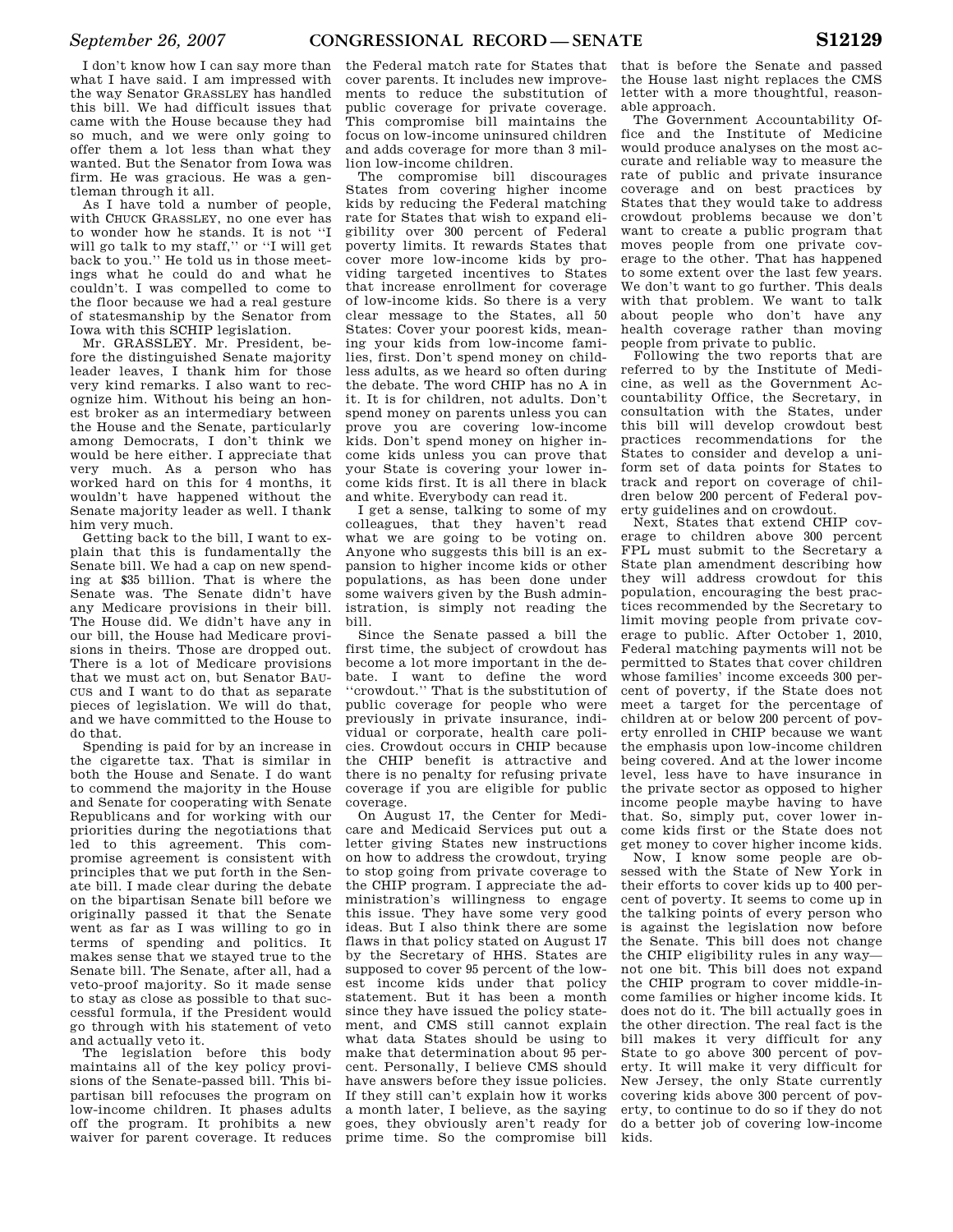I don't know how I can say more than what I have said. I am impressed with the way Senator GRASSLEY has handled this bill. We had difficult issues that came with the House because they had so much, and we were only going to offer them a lot less than what they wanted. But the Senator from Iowa was firm. He was gracious. He was a gentleman through it all.

As I have told a number of people, with CHUCK GRASSLEY, no one ever has to wonder how he stands. It is not ''I will go talk to my staff,'' or ''I will get back to you.'' He told us in those meetings what he could do and what he couldn't. I was compelled to come to the floor because we had a real gesture of statesmanship by the Senator from Iowa with this SCHIP legislation.

Mr. GRASSLEY. Mr. President, before the distinguished Senate majority leader leaves, I thank him for those very kind remarks. I also want to recognize him. Without his being an honest broker as an intermediary between the House and the Senate, particularly among Democrats, I don't think we would be here either. I appreciate that very much. As a person who has worked hard on this for 4 months, it wouldn't have happened without the Senate majority leader as well. I thank him very much.

Getting back to the bill, I want to explain that this is fundamentally the Senate bill. We had a cap on new spending at \$35 billion. That is where the Senate was. The Senate didn't have any Medicare provisions in their bill. The House did. We didn't have any in our bill, the House had Medicare provisions in theirs. Those are dropped out. There is a lot of Medicare provisions that we must act on, but Senator BAU-CUS and I want to do that as separate pieces of legislation. We will do that, and we have committed to the House to do that.

Spending is paid for by an increase in the cigarette tax. That is similar in both the House and Senate. I do want to commend the majority in the House and Senate for cooperating with Senate Republicans and for working with our priorities during the negotiations that led to this agreement. This compromise agreement is consistent with principles that we put forth in the Senate bill. I made clear during the debate on the bipartisan Senate bill before we originally passed it that the Senate went as far as I was willing to go in terms of spending and politics. It makes sense that we stayed true to the Senate bill. The Senate, after all, had a veto-proof majority. So it made sense to stay as close as possible to that successful formula, if the President would go through with his statement of veto and actually veto it.

The legislation before this body maintains all of the key policy provisions of the Senate-passed bill. This bipartisan bill refocuses the program on low-income children. It phases adults off the program. It prohibits a new waiver for parent coverage. It reduces

the Federal match rate for States that cover parents. It includes new improvements to reduce the substitution of public coverage for private coverage. This compromise bill maintains the focus on low-income uninsured children and adds coverage for more than 3 million low-income children.

The compromise bill discourages States from covering higher income kids by reducing the Federal matching rate for States that wish to expand eligibility over 300 percent of Federal poverty limits. It rewards States that cover more low-income kids by providing targeted incentives to States that increase enrollment for coverage of low-income kids. So there is a very clear message to the States, all 50 States: Cover your poorest kids, meaning your kids from low-income families, first. Don't spend money on childless adults, as we heard so often during the debate. The word CHIP has no A in it. It is for children, not adults. Don't spend money on parents unless you can prove you are covering low-income kids. Don't spend money on higher income kids unless you can prove that your State is covering your lower income kids first. It is all there in black and white. Everybody can read it.

I get a sense, talking to some of my colleagues, that they haven't read what we are going to be voting on. Anyone who suggests this bill is an expansion to higher income kids or other populations, as has been done under some waivers given by the Bush administration, is simply not reading the bill.

Since the Senate passed a bill the first time, the subject of crowdout has become a lot more important in the debate. I want to define the word ''crowdout.'' That is the substitution of public coverage for people who were previously in private insurance, individual or corporate, health care policies. Crowdout occurs in CHIP because the CHIP benefit is attractive and there is no penalty for refusing private coverage if you are eligible for public coverage.

On August 17, the Center for Medicare and Medicaid Services put out a letter giving States new instructions on how to address the crowdout, trying to stop going from private coverage to the CHIP program. I appreciate the administration's willingness to engage this issue. They have some very good ideas. But I also think there are some flaws in that policy stated on August 17 by the Secretary of HHS. States are supposed to cover 95 percent of the lowest income kids under that policy statement. But it has been a month since they have issued the policy statement, and CMS still cannot explain what data States should be using to make that determination about 95 percent. Personally, I believe CMS should have answers before they issue policies. If they still can't explain how it works a month later, I believe, as the saying goes, they obviously aren't ready for prime time. So the compromise bill

that is before the Senate and passed the House last night replaces the CMS letter with a more thoughtful, reasonable approach.

The Government Accountability Office and the Institute of Medicine would produce analyses on the most accurate and reliable way to measure the rate of public and private insurance coverage and on best practices by States that they would take to address crowdout problems because we don't want to create a public program that moves people from one private coverage to the other. That has happened to some extent over the last few years. We don't want to go further. This deals with that problem. We want to talk about people who don't have any health coverage rather than moving people from private to public.

Following the two reports that are referred to by the Institute of Medicine, as well as the Government Accountability Office, the Secretary, in consultation with the States, under this bill will develop crowdout best practices recommendations for the States to consider and develop a uniform set of data points for States to track and report on coverage of children below 200 percent of Federal poverty guidelines and on crowdout.

Next, States that extend CHIP coverage to children above 300 percent FPL must submit to the Secretary a State plan amendment describing how they will address crowdout for this population, encouraging the best practices recommended by the Secretary to limit moving people from private coverage to public. After October 1, 2010, Federal matching payments will not be permitted to States that cover children whose families' income exceeds 300 percent of poverty, if the State does not meet a target for the percentage of children at or below 200 percent of poverty enrolled in CHIP because we want the emphasis upon low-income children being covered. And at the lower income level, less have to have insurance in the private sector as opposed to higher income people maybe having to have that. So, simply put, cover lower income kids first or the State does not get money to cover higher income kids.

Now, I know some people are obsessed with the State of New York in their efforts to cover kids up to 400 percent of poverty. It seems to come up in the talking points of every person who is against the legislation now before the Senate. This bill does not change the CHIP eligibility rules in any way not one bit. This bill does not expand the CHIP program to cover middle-income families or higher income kids. It does not do it. The bill actually goes in the other direction. The real fact is the bill makes it very difficult for any State to go above 300 percent of poverty. It will make it very difficult for New Jersey, the only State currently covering kids above 300 percent of poverty, to continue to do so if they do not do a better job of covering low-income kids.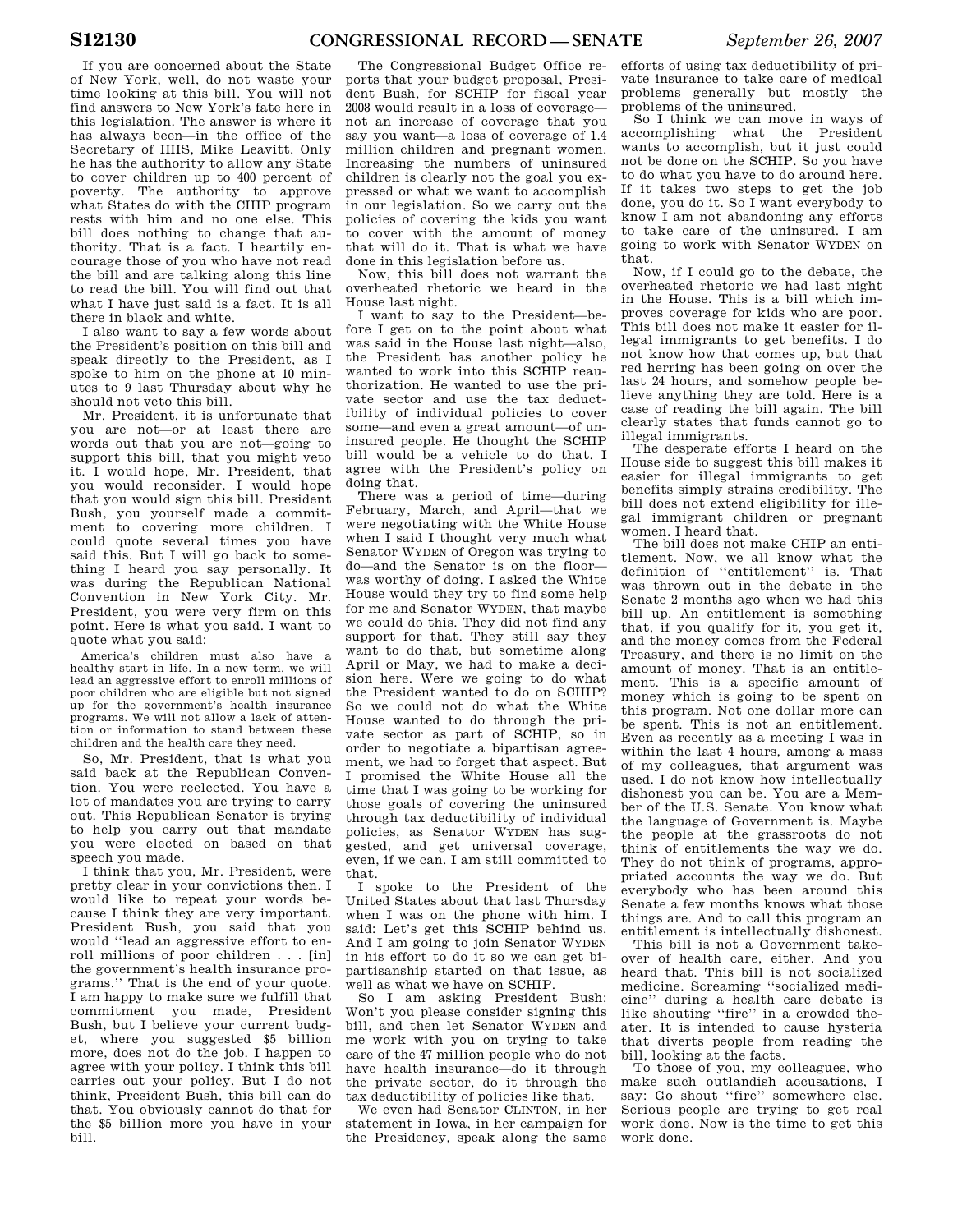If you are concerned about the State of New York, well, do not waste your time looking at this bill. You will not find answers to New York's fate here in this legislation. The answer is where it has always been—in the office of the Secretary of HHS, Mike Leavitt. Only he has the authority to allow any State to cover children up to 400 percent of poverty. The authority to approve what States do with the CHIP program rests with him and no one else. This bill does nothing to change that authority. That is a fact. I heartily encourage those of you who have not read the bill and are talking along this line to read the bill. You will find out that what I have just said is a fact. It is all there in black and white.

I also want to say a few words about the President's position on this bill and speak directly to the President, as I spoke to him on the phone at 10 minutes to 9 last Thursday about why he should not veto this bill.

Mr. President, it is unfortunate that you are not—or at least there are words out that you are not—going to support this bill, that you might veto it. I would hope, Mr. President, that you would reconsider. I would hope that you would sign this bill. President Bush, you yourself made a commitment to covering more children. I could quote several times you have said this. But I will go back to something I heard you say personally. It was during the Republican National Convention in New York City. Mr. President, you were very firm on this point. Here is what you said. I want to quote what you said:

America's children must also have a healthy start in life. In a new term, we will lead an aggressive effort to enroll millions of poor children who are eligible but not signed up for the government's health insurance programs. We will not allow a lack of attention or information to stand between these children and the health care they need.

So, Mr. President, that is what you said back at the Republican Convention. You were reelected. You have a lot of mandates you are trying to carry out. This Republican Senator is trying to help you carry out that mandate you were elected on based on that speech you made.

I think that you, Mr. President, were pretty clear in your convictions then. I would like to repeat your words because I think they are very important. President Bush, you said that you would ''lead an aggressive effort to enroll millions of poor children . . . [in] the government's health insurance programs.'' That is the end of your quote. I am happy to make sure we fulfill that commitment you made, President Bush, but I believe your current budget, where you suggested \$5 billion more, does not do the job. I happen to agree with your policy. I think this bill carries out your policy. But I do not think, President Bush, this bill can do that. You obviously cannot do that for the \$5 billion more you have in your bill.

The Congressional Budget Office reports that your budget proposal, President Bush, for SCHIP for fiscal year 2008 would result in a loss of coverage not an increase of coverage that you say you want—a loss of coverage of 1.4 million children and pregnant women. Increasing the numbers of uninsured children is clearly not the goal you expressed or what we want to accomplish in our legislation. So we carry out the policies of covering the kids you want to cover with the amount of money that will do it. That is what we have done in this legislation before us.

Now, this bill does not warrant the overheated rhetoric we heard in the House last night.

I want to say to the President—before I get on to the point about what was said in the House last night—also, the President has another policy he wanted to work into this SCHIP reauthorization. He wanted to use the private sector and use the tax deductibility of individual policies to cover some—and even a great amount—of uninsured people. He thought the SCHIP bill would be a vehicle to do that. I agree with the President's policy on doing that.

There was a period of time—during February, March, and April—that we were negotiating with the White House when I said I thought very much what Senator WYDEN of Oregon was trying to do—and the Senator is on the floor was worthy of doing. I asked the White House would they try to find some help for me and Senator WYDEN, that maybe we could do this. They did not find any support for that. They still say they want to do that, but sometime along April or May, we had to make a decision here. Were we going to do what the President wanted to do on SCHIP? So we could not do what the White House wanted to do through the private sector as part of SCHIP, so in order to negotiate a bipartisan agreement, we had to forget that aspect. But I promised the White House all the time that I was going to be working for those goals of covering the uninsured through tax deductibility of individual policies, as Senator WYDEN has suggested, and get universal coverage, even, if we can. I am still committed to that.

I spoke to the President of the United States about that last Thursday when I was on the phone with him. I said: Let's get this SCHIP behind us. And I am going to join Senator WYDEN in his effort to do it so we can get bipartisanship started on that issue, as well as what we have on SCHIP.

So I am asking President Bush: Won't you please consider signing this bill, and then let Senator WYDEN and me work with you on trying to take care of the 47 million people who do not have health insurance—do it through the private sector, do it through the tax deductibility of policies like that.

We even had Senator CLINTON, in her statement in Iowa, in her campaign for the Presidency, speak along the same

efforts of using tax deductibility of private insurance to take care of medical problems generally but mostly the problems of the uninsured.

So I think we can move in ways of accomplishing what the President wants to accomplish, but it just could not be done on the SCHIP. So you have to do what you have to do around here. If it takes two steps to get the job done, you do it. So I want everybody to know I am not abandoning any efforts to take care of the uninsured. I am going to work with Senator WYDEN on that.

Now, if I could go to the debate, the overheated rhetoric we had last night in the House. This is a bill which improves coverage for kids who are poor. This bill does not make it easier for illegal immigrants to get benefits. I do not know how that comes up, but that red herring has been going on over the last 24 hours, and somehow people believe anything they are told. Here is a case of reading the bill again. The bill clearly states that funds cannot go to illegal immigrants.

The desperate efforts I heard on the House side to suggest this bill makes it easier for illegal immigrants to get benefits simply strains credibility. The bill does not extend eligibility for illegal immigrant children or pregnant women. I heard that.

The bill does not make CHIP an entitlement. Now, we all know what the definition of ''entitlement'' is. That was thrown out in the debate in the Senate 2 months ago when we had this bill up. An entitlement is something that, if you qualify for it, you get it, and the money comes from the Federal Treasury, and there is no limit on the amount of money. That is an entitlement. This is a specific amount of money which is going to be spent on this program. Not one dollar more can be spent. This is not an entitlement. Even as recently as a meeting I was in within the last 4 hours, among a mass of my colleagues, that argument was used. I do not know how intellectually dishonest you can be. You are a Member of the U.S. Senate. You know what the language of Government is. Maybe the people at the grassroots do not think of entitlements the way we do. They do not think of programs, appropriated accounts the way we do. But everybody who has been around this Senate a few months knows what those things are. And to call this program an entitlement is intellectually dishonest.

This bill is not a Government takeover of health care, either. And you heard that. This bill is not socialized medicine. Screaming ''socialized medicine'' during a health care debate is like shouting ''fire'' in a crowded theater. It is intended to cause hysteria that diverts people from reading the bill, looking at the facts.

To those of you, my colleagues, who make such outlandish accusations, I say: Go shout "fire" somewhere else. Serious people are trying to get real work done. Now is the time to get this work done.